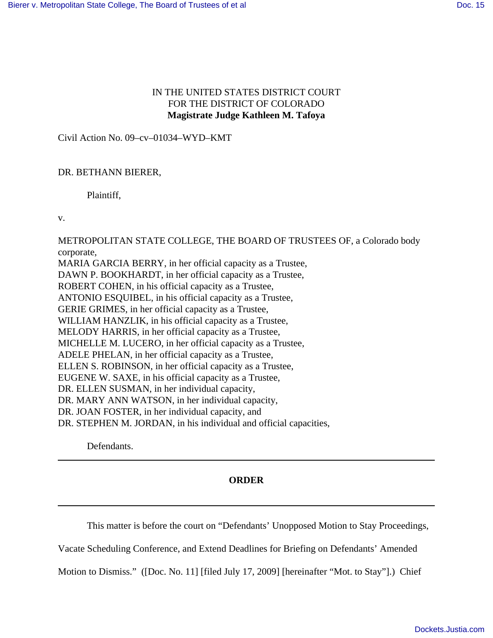## IN THE UNITED STATES DISTRICT COURT FOR THE DISTRICT OF COLORADO **Magistrate Judge Kathleen M. Tafoya**

Civil Action No. 09–cv–01034–WYD–KMT

## DR. BETHANN BIERER,

Plaintiff,

v.

METROPOLITAN STATE COLLEGE, THE BOARD OF TRUSTEES OF, a Colorado body corporate,

MARIA GARCIA BERRY, in her official capacity as a Trustee, DAWN P. BOOKHARDT, in her official capacity as a Trustee, ROBERT COHEN, in his official capacity as a Trustee, ANTONIO ESQUIBEL, in his official capacity as a Trustee, GERIE GRIMES, in her official capacity as a Trustee, WILLIAM HANZLIK, in his official capacity as a Trustee, MELODY HARRIS, in her official capacity as a Trustee, MICHELLE M. LUCERO, in her official capacity as a Trustee, ADELE PHELAN, in her official capacity as a Trustee, ELLEN S. ROBINSON, in her official capacity as a Trustee, EUGENE W. SAXE, in his official capacity as a Trustee, DR. ELLEN SUSMAN, in her individual capacity, DR. MARY ANN WATSON, in her individual capacity, DR. JOAN FOSTER, in her individual capacity, and DR. STEPHEN M. JORDAN, in his individual and official capacities,

Defendants.

## **ORDER**

This matter is before the court on "Defendants' Unopposed Motion to Stay Proceedings,

Vacate Scheduling Conference, and Extend Deadlines for Briefing on Defendants' Amended

Motion to Dismiss." ([Doc. No. 11] [filed July 17, 2009] [hereinafter "Mot. to Stay"].) Chief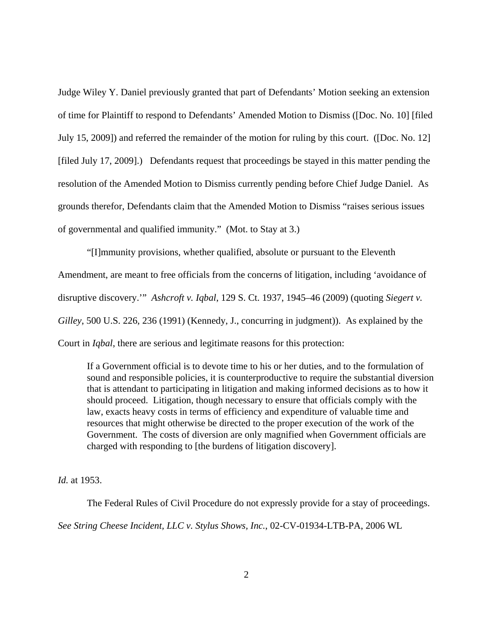Judge Wiley Y. Daniel previously granted that part of Defendants' Motion seeking an extension of time for Plaintiff to respond to Defendants' Amended Motion to Dismiss ([Doc. No. 10] [filed July 15, 2009]) and referred the remainder of the motion for ruling by this court. ([Doc. No. 12] [filed July 17, 2009].) Defendants request that proceedings be stayed in this matter pending the resolution of the Amended Motion to Dismiss currently pending before Chief Judge Daniel. As grounds therefor, Defendants claim that the Amended Motion to Dismiss "raises serious issues of governmental and qualified immunity." (Mot. to Stay at 3.)

"[I]mmunity provisions, whether qualified, absolute or pursuant to the Eleventh Amendment, are meant to free officials from the concerns of litigation, including 'avoidance of disruptive discovery.'" *Ashcroft v. Iqbal*, 129 S. Ct. 1937, 1945–46 (2009) (quoting *Siegert v. Gilley*, 500 U.S. 226, 236 (1991) (Kennedy, J., concurring in judgment)). As explained by the Court in *Iqbal*, there are serious and legitimate reasons for this protection:

If a Government official is to devote time to his or her duties, and to the formulation of sound and responsible policies, it is counterproductive to require the substantial diversion that is attendant to participating in litigation and making informed decisions as to how it should proceed. Litigation, though necessary to ensure that officials comply with the law, exacts heavy costs in terms of efficiency and expenditure of valuable time and resources that might otherwise be directed to the proper execution of the work of the Government. The costs of diversion are only magnified when Government officials are charged with responding to [the burdens of litigation discovery].

*Id.* at 1953.

The Federal Rules of Civil Procedure do not expressly provide for a stay of proceedings. *See String Cheese Incident, LLC v. Stylus Shows, Inc.*, 02-CV-01934-LTB-PA, 2006 WL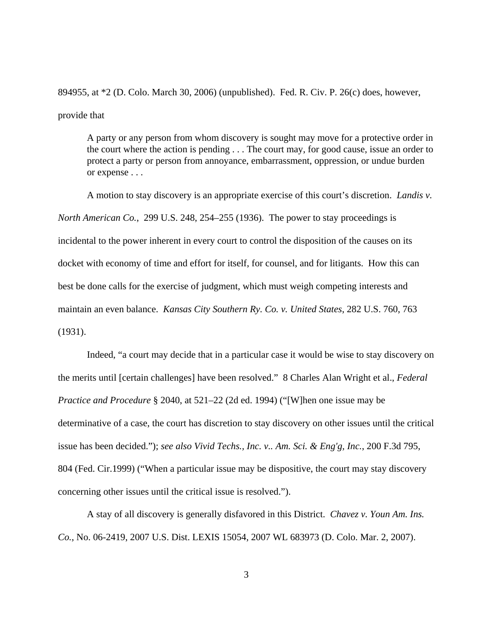894955, at \*2 (D. Colo. March 30, 2006) (unpublished). Fed. R. Civ. P. 26(c) does, however, provide that

A party or any person from whom discovery is sought may move for a protective order in the court where the action is pending . . . The court may, for good cause, issue an order to protect a party or person from annoyance, embarrassment, oppression, or undue burden or expense . . .

A motion to stay discovery is an appropriate exercise of this court's discretion. *Landis v. North American Co.*, 299 U.S. 248, 254–255 (1936). The power to stay proceedings is incidental to the power inherent in every court to control the disposition of the causes on its docket with economy of time and effort for itself, for counsel, and for litigants. How this can best be done calls for the exercise of judgment, which must weigh competing interests and maintain an even balance. *Kansas City Southern Ry. Co. v. United States*, 282 U.S. 760, 763 (1931).

Indeed, "a court may decide that in a particular case it would be wise to stay discovery on the merits until [certain challenges] have been resolved." 8 Charles Alan Wright et al., *Federal Practice and Procedure* § 2040, at 521–22 (2d ed. 1994) ("[W]hen one issue may be determinative of a case, the court has discretion to stay discovery on other issues until the critical issue has been decided."); *see also Vivid Techs., Inc. v.. Am. Sci. & Eng'g, Inc.*, 200 F.3d 795, 804 (Fed. Cir.1999) ("When a particular issue may be dispositive, the court may stay discovery concerning other issues until the critical issue is resolved.").

A stay of all discovery is generally disfavored in this District. *Chavez v. Youn Am. Ins. Co.*, No. 06-2419, 2007 U.S. Dist. LEXIS 15054, 2007 WL 683973 (D. Colo. Mar. 2, 2007).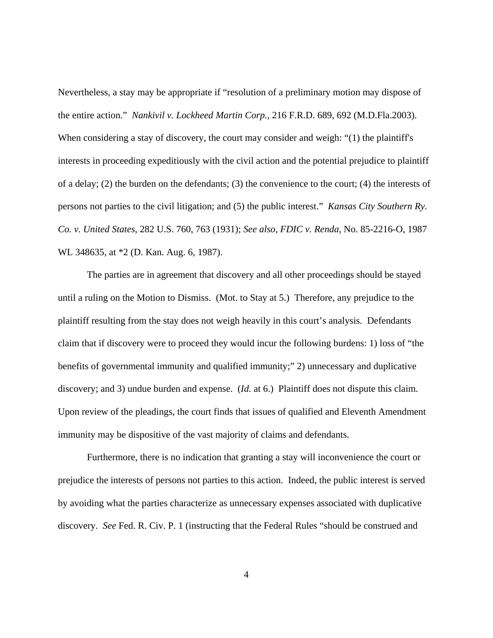Nevertheless, a stay may be appropriate if "resolution of a preliminary motion may dispose of the entire action." *Nankivil v. Lockheed Martin Corp.*, 216 F.R.D. 689, 692 (M.D.Fla.2003). When considering a stay of discovery, the court may consider and weigh: "(1) the plaintiff's interests in proceeding expeditiously with the civil action and the potential prejudice to plaintiff of a delay; (2) the burden on the defendants; (3) the convenience to the court; (4) the interests of persons not parties to the civil litigation; and (5) the public interest." *Kansas City Southern Ry. Co. v. United States*, 282 U.S. 760, 763 (1931); *See also*, *FDIC v. Renda*, No. 85-2216-O, 1987 WL 348635, at \*2 (D. Kan. Aug. 6, 1987).

The parties are in agreement that discovery and all other proceedings should be stayed until a ruling on the Motion to Dismiss. (Mot. to Stay at 5.) Therefore, any prejudice to the plaintiff resulting from the stay does not weigh heavily in this court's analysis. Defendants claim that if discovery were to proceed they would incur the following burdens: 1) loss of "the benefits of governmental immunity and qualified immunity;" 2) unnecessary and duplicative discovery; and 3) undue burden and expense. (*Id.* at 6.) Plaintiff does not dispute this claim. Upon review of the pleadings, the court finds that issues of qualified and Eleventh Amendment immunity may be dispositive of the vast majority of claims and defendants.

Furthermore, there is no indication that granting a stay will inconvenience the court or prejudice the interests of persons not parties to this action. Indeed, the public interest is served by avoiding what the parties characterize as unnecessary expenses associated with duplicative discovery. *See* Fed. R. Civ. P. 1 (instructing that the Federal Rules "should be construed and